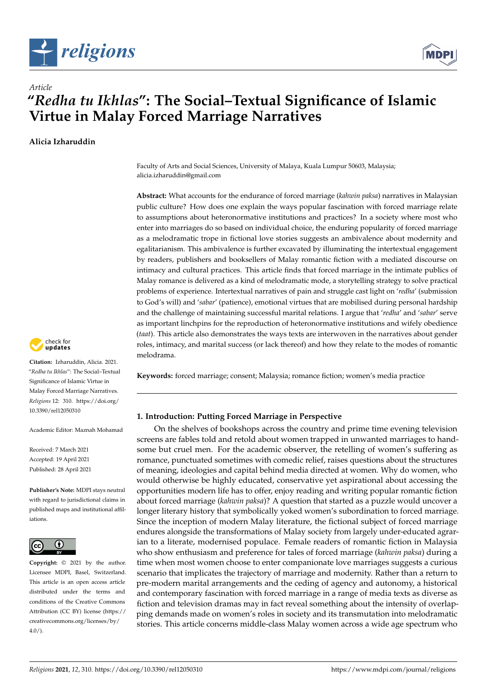



# *Article* **"***Redha tu Ikhlas***": The Social–Textual Significance of Islamic Virtue in Malay Forced Marriage Narratives**

**Alicia Izharuddin**

check for<br>**updates** 

**Citation:** Izharuddin, Alicia. 2021. "*Redha tu Ikhlas*": The Social–Textual Significance of Islamic Virtue in Malay Forced Marriage Narratives. *Religions* 12: 310. [https://doi.org/](https://doi.org/10.3390/rel12050310) [10.3390/rel12050310](https://doi.org/10.3390/rel12050310)

Academic Editor: Maznah Mohamad

Received: 7 March 2021 Accepted: 19 April 2021 Published: 28 April 2021

**Publisher's Note:** MDPI stays neutral with regard to jurisdictional claims in published maps and institutional affiliations.



**Copyright:** © 2021 by the author. Licensee MDPI, Basel, Switzerland. This article is an open access article distributed under the terms and conditions of the Creative Commons Attribution (CC BY) license (https:/[/](https://creativecommons.org/licenses/by/4.0/) [creativecommons.org/licenses/by/](https://creativecommons.org/licenses/by/4.0/)  $4.0/$ ).

Faculty of Arts and Social Sciences, University of Malaya, Kuala Lumpur 50603, Malaysia; alicia.izharuddin@gmail.com

**Abstract:** What accounts for the endurance of forced marriage (*kahwin paksa*) narratives in Malaysian public culture? How does one explain the ways popular fascination with forced marriage relate to assumptions about heteronormative institutions and practices? In a society where most who enter into marriages do so based on individual choice, the enduring popularity of forced marriage as a melodramatic trope in fictional love stories suggests an ambivalence about modernity and egalitarianism. This ambivalence is further excavated by illuminating the intertextual engagement by readers, publishers and booksellers of Malay romantic fiction with a mediated discourse on intimacy and cultural practices. This article finds that forced marriage in the intimate publics of Malay romance is delivered as a kind of melodramatic mode, a storytelling strategy to solve practical problems of experience. Intertextual narratives of pain and struggle cast light on '*redha*' (submission to God's will) and '*sabar*' (patience), emotional virtues that are mobilised during personal hardship and the challenge of maintaining successful marital relations. I argue that '*redha*' and '*sabar*' serve as important linchpins for the reproduction of heteronormative institutions and wifely obedience (*taat*). This article also demonstrates the ways texts are interwoven in the narratives about gender roles, intimacy, and marital success (or lack thereof) and how they relate to the modes of romantic melodrama.

**Keywords:** forced marriage; consent; Malaysia; romance fiction; women's media practice

# **1. Introduction: Putting Forced Marriage in Perspective**

On the shelves of bookshops across the country and prime time evening television screens are fables told and retold about women trapped in unwanted marriages to handsome but cruel men. For the academic observer, the retelling of women's suffering as romance, punctuated sometimes with comedic relief, raises questions about the structures of meaning, ideologies and capital behind media directed at women. Why do women, who would otherwise be highly educated, conservative yet aspirational about accessing the opportunities modern life has to offer, enjoy reading and writing popular romantic fiction about forced marriage (*kahwin paksa*)? A question that started as a puzzle would uncover a longer literary history that symbolically yoked women's subordination to forced marriage. Since the inception of modern Malay literature, the fictional subject of forced marriage endures alongside the transformations of Malay society from largely under-educated agrarian to a literate, modernised populace. Female readers of romantic fiction in Malaysia who show enthusiasm and preference for tales of forced marriage (*kahwin paksa*) during a time when most women choose to enter companionate love marriages suggests a curious scenario that implicates the trajectory of marriage and modernity. Rather than a return to pre-modern marital arrangements and the ceding of agency and autonomy, a historical and contemporary fascination with forced marriage in a range of media texts as diverse as fiction and television dramas may in fact reveal something about the intensity of overlapping demands made on women's roles in society and its transmutation into melodramatic stories. This article concerns middle-class Malay women across a wide age spectrum who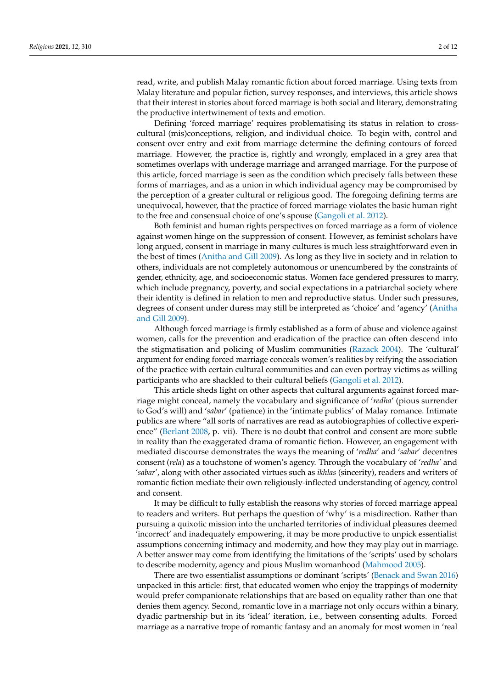read, write, and publish Malay romantic fiction about forced marriage. Using texts from Malay literature and popular fiction, survey responses, and interviews, this article shows that their interest in stories about forced marriage is both social and literary, demonstrating the productive intertwinement of texts and emotion.

Defining 'forced marriage' requires problematising its status in relation to crosscultural (mis)conceptions, religion, and individual choice. To begin with, control and consent over entry and exit from marriage determine the defining contours of forced marriage. However, the practice is, rightly and wrongly, emplaced in a grey area that sometimes overlaps with underage marriage and arranged marriage. For the purpose of this article, forced marriage is seen as the condition which precisely falls between these forms of marriages, and as a union in which individual agency may be compromised by the perception of a greater cultural or religious good. The foregoing defining terms are unequivocal, however, that the practice of forced marriage violates the basic human right to the free and consensual choice of one's spouse [\(Gangoli et al.](#page-10-0) [2012\)](#page-10-0).

Both feminist and human rights perspectives on forced marriage as a form of violence against women hinge on the suppression of consent. However, as feminist scholars have long argued, consent in marriage in many cultures is much less straightforward even in the best of times [\(Anitha and Gill](#page-10-1) [2009\)](#page-10-1). As long as they live in society and in relation to others, individuals are not completely autonomous or unencumbered by the constraints of gender, ethnicity, age, and socioeconomic status. Women face gendered pressures to marry, which include pregnancy, poverty, and social expectations in a patriarchal society where their identity is defined in relation to men and reproductive status. Under such pressures, degrees of consent under duress may still be interpreted as 'choice' and 'agency' [\(Anitha](#page-10-1) [and Gill](#page-10-1) [2009\)](#page-10-1).

Although forced marriage is firmly established as a form of abuse and violence against women, calls for the prevention and eradication of the practice can often descend into the stigmatisation and policing of Muslim communities [\(Razack](#page-11-0) [2004\)](#page-11-0). The 'cultural' argument for ending forced marriage conceals women's realities by reifying the association of the practice with certain cultural communities and can even portray victims as willing participants who are shackled to their cultural beliefs [\(Gangoli et al.](#page-10-0) [2012\)](#page-10-0).

This article sheds light on other aspects that cultural arguments against forced marriage might conceal, namely the vocabulary and significance of '*redha*' (pious surrender to God's will) and '*sabar*' (patience) in the 'intimate publics' of Malay romance. Intimate publics are where "all sorts of narratives are read as autobiographies of collective experience" [\(Berlant](#page-10-2) [2008,](#page-10-2) p. vii). There is no doubt that control and consent are more subtle in reality than the exaggerated drama of romantic fiction. However, an engagement with mediated discourse demonstrates the ways the meaning of '*redha*' and '*sabar*' decentres consent (*rela*) as a touchstone of women's agency. Through the vocabulary of '*redha*' and '*sabar*', along with other associated virtues such as *ikhlas* (sincerity), readers and writers of romantic fiction mediate their own religiously-inflected understanding of agency, control and consent.

It may be difficult to fully establish the reasons why stories of forced marriage appeal to readers and writers. But perhaps the question of 'why' is a misdirection. Rather than pursuing a quixotic mission into the uncharted territories of individual pleasures deemed 'incorrect' and inadequately empowering, it may be more productive to unpick essentialist assumptions concerning intimacy and modernity, and how they may play out in marriage. A better answer may come from identifying the limitations of the 'scripts' used by scholars to describe modernity, agency and pious Muslim womanhood [\(Mahmood](#page-11-1) [2005\)](#page-11-1).

There are two essentialist assumptions or dominant 'scripts' [\(Benack and Swan](#page-10-3) [2016\)](#page-10-3) unpacked in this article: first, that educated women who enjoy the trappings of modernity would prefer companionate relationships that are based on equality rather than one that denies them agency. Second, romantic love in a marriage not only occurs within a binary, dyadic partnership but in its 'ideal' iteration, i.e., between consenting adults. Forced marriage as a narrative trope of romantic fantasy and an anomaly for most women in 'real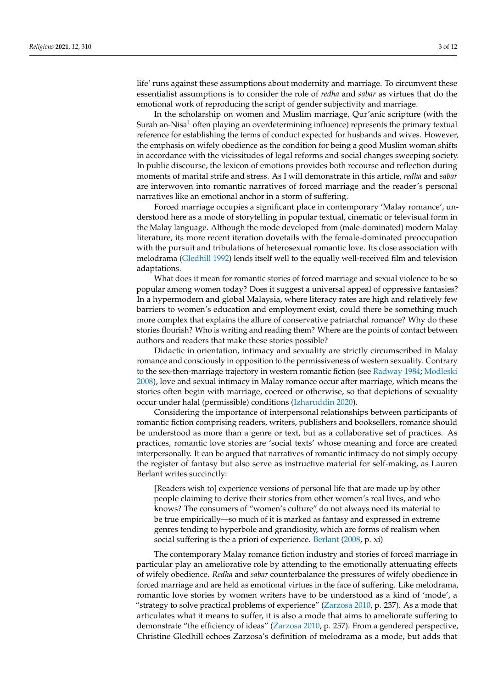life' runs against these assumptions about modernity and marriage. To circumvent these essentialist assumptions is to consider the role of *redha* and *sabar* as virtues that do the emotional work of reproducing the script of gender subjectivity and marriage.

In the scholarship on women and Muslim marriage, Qur'anic scripture (with the Surah an-Nisa $<sup>1</sup>$  $<sup>1</sup>$  $<sup>1</sup>$  often playing an overdetermining influence) represents the primary textual</sup> reference for establishing the terms of conduct expected for husbands and wives. However, the emphasis on wifely obedience as the condition for being a good Muslim woman shifts in accordance with the vicissitudes of legal reforms and social changes sweeping society. In public discourse, the lexicon of emotions provides both recourse and reflection during moments of marital strife and stress. As I will demonstrate in this article, *redha* and *sabar* are interwoven into romantic narratives of forced marriage and the reader's personal narratives like an emotional anchor in a storm of suffering.

Forced marriage occupies a significant place in contemporary 'Malay romance', understood here as a mode of storytelling in popular textual, cinematic or televisual form in the Malay language. Although the mode developed from (male-dominated) modern Malay literature, its more recent iteration dovetails with the female-dominated preoccupation with the pursuit and tribulations of heterosexual romantic love. Its close association with melodrama [\(Gledhill](#page-10-5) [1992\)](#page-10-5) lends itself well to the equally well-received film and television adaptations.

What does it mean for romantic stories of forced marriage and sexual violence to be so popular among women today? Does it suggest a universal appeal of oppressive fantasies? In a hypermodern and global Malaysia, where literacy rates are high and relatively few barriers to women's education and employment exist, could there be something much more complex that explains the allure of conservative patriarchal romance? Why do these stories flourish? Who is writing and reading them? Where are the points of contact between authors and readers that make these stories possible?

Didactic in orientation, intimacy and sexuality are strictly circumscribed in Malay romance and consciously in opposition to the permissiveness of western sexuality. Contrary to the sex-then-marriage trajectory in western romantic fiction (see [Radway](#page-11-2) [1984;](#page-11-2) [Modleski](#page-11-3) [2008\)](#page-11-3), love and sexual intimacy in Malay romance occur after marriage, which means the stories often begin with marriage, coerced or otherwise, so that depictions of sexuality occur under halal (permissible) conditions [\(Izharuddin](#page-11-4) [2020\)](#page-11-4).

Considering the importance of interpersonal relationships between participants of romantic fiction comprising readers, writers, publishers and booksellers, romance should be understood as more than a genre or text, but as a collaborative set of practices. As practices, romantic love stories are 'social texts' whose meaning and force are created interpersonally. It can be argued that narratives of romantic intimacy do not simply occupy the register of fantasy but also serve as instructive material for self-making, as Lauren Berlant writes succinctly:

[Readers wish to] experience versions of personal life that are made up by other people claiming to derive their stories from other women's real lives, and who knows? The consumers of "women's culture" do not always need its material to be true empirically—so much of it is marked as fantasy and expressed in extreme genres tending to hyperbole and grandiosity, which are forms of realism when social suffering is the a priori of experience. [Berlant](#page-10-2) [\(2008,](#page-10-2) p. xi)

The contemporary Malay romance fiction industry and stories of forced marriage in particular play an ameliorative role by attending to the emotionally attenuating effects of wifely obedience. *Redha* and *sabar* counterbalance the pressures of wifely obedience in forced marriage and are held as emotional virtues in the face of suffering. Like melodrama, romantic love stories by women writers have to be understood as a kind of 'mode', a "strategy to solve practical problems of experience" [\(Zarzosa](#page-11-5) [2010,](#page-11-5) p. 237). As a mode that articulates what it means to suffer, it is also a mode that aims to ameliorate suffering to demonstrate "the efficiency of ideas" [\(Zarzosa](#page-11-5) [2010,](#page-11-5) p. 257). From a gendered perspective, Christine Gledhill echoes Zarzosa's definition of melodrama as a mode, but adds that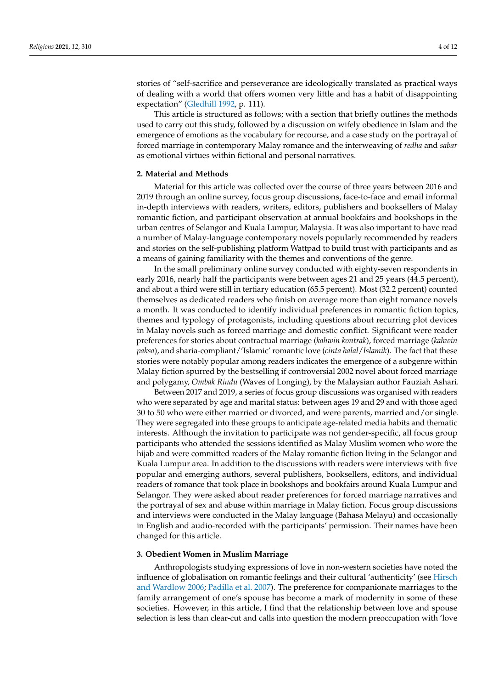stories of "self-sacrifice and perseverance are ideologically translated as practical ways of dealing with a world that offers women very little and has a habit of disappointing expectation" [\(Gledhill](#page-10-5) [1992,](#page-10-5) p. 111).

This article is structured as follows; with a section that briefly outlines the methods used to carry out this study, followed by a discussion on wifely obedience in Islam and the emergence of emotions as the vocabulary for recourse, and a case study on the portrayal of forced marriage in contemporary Malay romance and the interweaving of *redha* and *sabar* as emotional virtues within fictional and personal narratives.

## **2. Material and Methods**

Material for this article was collected over the course of three years between 2016 and 2019 through an online survey, focus group discussions, face-to-face and email informal in-depth interviews with readers, writers, editors, publishers and booksellers of Malay romantic fiction, and participant observation at annual bookfairs and bookshops in the urban centres of Selangor and Kuala Lumpur, Malaysia. It was also important to have read a number of Malay-language contemporary novels popularly recommended by readers and stories on the self-publishing platform Wattpad to build trust with participants and as a means of gaining familiarity with the themes and conventions of the genre.

In the small preliminary online survey conducted with eighty-seven respondents in early 2016, nearly half the participants were between ages 21 and 25 years (44.5 percent), and about a third were still in tertiary education (65.5 percent). Most (32.2 percent) counted themselves as dedicated readers who finish on average more than eight romance novels a month. It was conducted to identify individual preferences in romantic fiction topics, themes and typology of protagonists, including questions about recurring plot devices in Malay novels such as forced marriage and domestic conflict. Significant were reader preferences for stories about contractual marriage (*kahwin kontrak*), forced marriage (*kahwin paksa*), and sharia-compliant/'Islamic' romantic love (*cinta halal*/*Islamik*). The fact that these stories were notably popular among readers indicates the emergence of a subgenre within Malay fiction spurred by the bestselling if controversial 2002 novel about forced marriage and polygamy, *Ombak Rindu* (Waves of Longing), by the Malaysian author Fauziah Ashari.

Between 2017 and 2019, a series of focus group discussions was organised with readers who were separated by age and marital status: between ages 19 and 29 and with those aged 30 to 50 who were either married or divorced, and were parents, married and/or single. They were segregated into these groups to anticipate age-related media habits and thematic interests. Although the invitation to participate was not gender-specific, all focus group participants who attended the sessions identified as Malay Muslim women who wore the hijab and were committed readers of the Malay romantic fiction living in the Selangor and Kuala Lumpur area. In addition to the discussions with readers were interviews with five popular and emerging authors, several publishers, booksellers, editors, and individual readers of romance that took place in bookshops and bookfairs around Kuala Lumpur and Selangor. They were asked about reader preferences for forced marriage narratives and the portrayal of sex and abuse within marriage in Malay fiction. Focus group discussions and interviews were conducted in the Malay language (Bahasa Melayu) and occasionally in English and audio-recorded with the participants' permission. Their names have been changed for this article.

## **3. Obedient Women in Muslim Marriage**

Anthropologists studying expressions of love in non-western societies have noted the influence of globalisation on romantic feelings and their cultural 'authenticity' (see [Hirsch](#page-10-6) [and Wardlow](#page-10-6) [2006;](#page-10-6) [Padilla et al.](#page-11-6) [2007\)](#page-11-6). The preference for companionate marriages to the family arrangement of one's spouse has become a mark of modernity in some of these societies. However, in this article, I find that the relationship between love and spouse selection is less than clear-cut and calls into question the modern preoccupation with 'love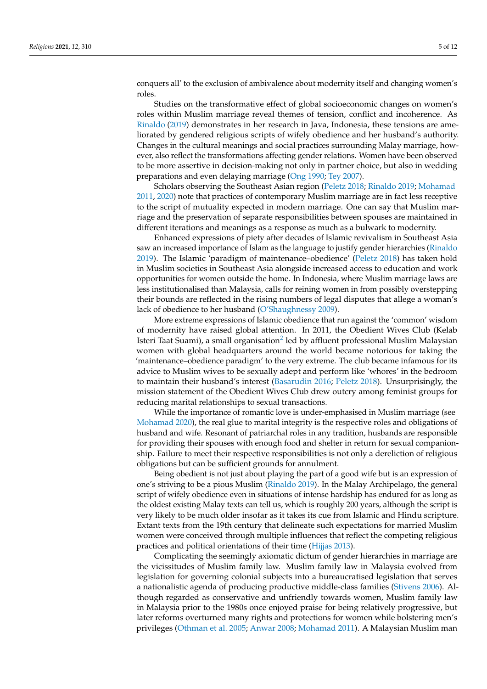conquers all' to the exclusion of ambivalence about modernity itself and changing women's roles.

Studies on the transformative effect of global socioeconomic changes on women's roles within Muslim marriage reveal themes of tension, conflict and incoherence. As [Rinaldo](#page-11-7) [\(2019\)](#page-11-7) demonstrates in her research in Java, Indonesia, these tensions are ameliorated by gendered religious scripts of wifely obedience and her husband's authority. Changes in the cultural meanings and social practices surrounding Malay marriage, however, also reflect the transformations affecting gender relations. Women have been observed to be more assertive in decision-making not only in partner choice, but also in wedding preparations and even delaying marriage [\(Ong](#page-11-8) [1990;](#page-11-8) [Tey](#page-11-9) [2007\)](#page-11-9).

Scholars observing the Southeast Asian region [\(Peletz](#page-11-10) [2018;](#page-11-10) [Rinaldo](#page-11-7) [2019;](#page-11-7) [Mohamad](#page-11-11) [2011,](#page-11-11) [2020\)](#page-11-12) note that practices of contemporary Muslim marriage are in fact less receptive to the script of mutuality expected in modern marriage. One can say that Muslim marriage and the preservation of separate responsibilities between spouses are maintained in different iterations and meanings as a response as much as a bulwark to modernity.

Enhanced expressions of piety after decades of Islamic revivalism in Southeast Asia saw an increased importance of Islam as the language to justify gender hierarchies [\(Rinaldo](#page-11-7) [2019\)](#page-11-7). The Islamic 'paradigm of maintenance–obedience' [\(Peletz](#page-11-10) [2018\)](#page-11-10) has taken hold in Muslim societies in Southeast Asia alongside increased access to education and work opportunities for women outside the home. In Indonesia, where Muslim marriage laws are less institutionalised than Malaysia, calls for reining women in from possibly overstepping their bounds are reflected in the rising numbers of legal disputes that allege a woman's lack of obedience to her husband [\(O'Shaughnessy](#page-11-13) [2009\)](#page-11-13).

More extreme expressions of Islamic obedience that run against the 'common' wisdom of modernity have raised global attention. In 2011, the Obedient Wives Club (Kelab Isteri Taat Suami), a small organisation $^2$  $^2$  led by affluent professional Muslim Malaysian women with global headquarters around the world became notorious for taking the 'maintenance–obedience paradigm' to the very extreme. The club became infamous for its advice to Muslim wives to be sexually adept and perform like 'whores' in the bedroom to maintain their husband's interest [\(Basarudin](#page-10-8) [2016;](#page-10-8) [Peletz](#page-11-10) [2018\)](#page-11-10). Unsurprisingly, the mission statement of the Obedient Wives Club drew outcry among feminist groups for reducing marital relationships to sexual transactions.

While the importance of romantic love is under-emphasised in Muslim marriage (see [Mohamad](#page-11-12) [2020\)](#page-11-12), the real glue to marital integrity is the respective roles and obligations of husband and wife. Resonant of patriarchal roles in any tradition, husbands are responsible for providing their spouses with enough food and shelter in return for sexual companionship. Failure to meet their respective responsibilities is not only a dereliction of religious obligations but can be sufficient grounds for annulment.

Being obedient is not just about playing the part of a good wife but is an expression of one's striving to be a pious Muslim [\(Rinaldo](#page-11-7) [2019\)](#page-11-7). In the Malay Archipelago, the general script of wifely obedience even in situations of intense hardship has endured for as long as the oldest existing Malay texts can tell us, which is roughly 200 years, although the script is very likely to be much older insofar as it takes its cue from Islamic and Hindu scripture. Extant texts from the 19th century that delineate such expectations for married Muslim women were conceived through multiple influences that reflect the competing religious practices and political orientations of their time [\(Hijjas](#page-10-9) [2013\)](#page-10-9).

Complicating the seemingly axiomatic dictum of gender hierarchies in marriage are the vicissitudes of Muslim family law. Muslim family law in Malaysia evolved from legislation for governing colonial subjects into a bureaucratised legislation that serves a nationalistic agenda of producing productive middle-class families [\(Stivens](#page-11-14) [2006\)](#page-11-14). Although regarded as conservative and unfriendly towards women, Muslim family law in Malaysia prior to the 1980s once enjoyed praise for being relatively progressive, but later reforms overturned many rights and protections for women while bolstering men's privileges [\(Othman et al.](#page-11-15) [2005;](#page-11-15) [Anwar](#page-10-10) [2008;](#page-10-10) [Mohamad](#page-11-11) [2011\)](#page-11-11). A Malaysian Muslim man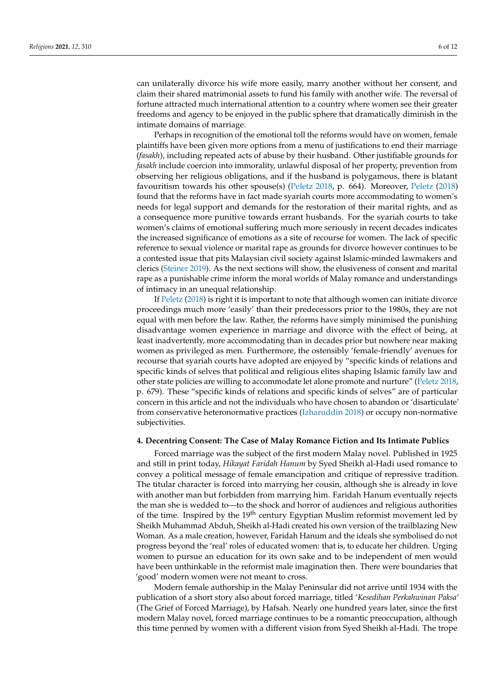can unilaterally divorce his wife more easily, marry another without her consent, and claim their shared matrimonial assets to fund his family with another wife. The reversal of fortune attracted much international attention to a country where women see their greater freedoms and agency to be enjoyed in the public sphere that dramatically diminish in the intimate domains of marriage.

Perhaps in recognition of the emotional toll the reforms would have on women, female plaintiffs have been given more options from a menu of justifications to end their marriage (*fasakh*), including repeated acts of abuse by their husband. Other justifiable grounds for *fasakh* include coercion into immorality, unlawful disposal of her property, prevention from observing her religious obligations, and if the husband is polygamous, there is blatant favouritism towards his other spouse(s) [\(Peletz](#page-11-10) [2018,](#page-11-10) p. 664). Moreover, [Peletz](#page-11-10) [\(2018\)](#page-11-10) found that the reforms have in fact made syariah courts more accommodating to women's needs for legal support and demands for the restoration of their marital rights, and as a consequence more punitive towards errant husbands. For the syariah courts to take women's claims of emotional suffering much more seriously in recent decades indicates the increased significance of emotions as a site of recourse for women. The lack of specific reference to sexual violence or marital rape as grounds for divorce however continues to be a contested issue that pits Malaysian civil society against Islamic-minded lawmakers and clerics [\(Steiner](#page-11-16) [2019\)](#page-11-16). As the next sections will show, the elusiveness of consent and marital rape as a punishable crime inform the moral worlds of Malay romance and understandings of intimacy in an unequal relationship.

If [Peletz](#page-11-10) [\(2018\)](#page-11-10) is right it is important to note that although women can initiate divorce proceedings much more 'easily' than their predecessors prior to the 1980s, they are not equal with men before the law. Rather, the reforms have simply minimised the punishing disadvantage women experience in marriage and divorce with the effect of being, at least inadvertently, more accommodating than in decades prior but nowhere near making women as privileged as men. Furthermore, the ostensibly 'female-friendly' avenues for recourse that syariah courts have adopted are enjoyed by "specific kinds of relations and specific kinds of selves that political and religious elites shaping Islamic family law and other state policies are willing to accommodate let alone promote and nurture" [\(Peletz](#page-11-10) [2018,](#page-11-10) p. 679). These "specific kinds of relations and specific kinds of selves" are of particular concern in this article and not the individuals who have chosen to abandon or 'disarticulate' from conservative heteronormative practices [\(Izharuddin](#page-10-11) [2018\)](#page-10-11) or occupy non-normative subjectivities.

#### **4. Decentring Consent: The Case of Malay Romance Fiction and Its Intimate Publics**

Forced marriage was the subject of the first modern Malay novel. Published in 1925 and still in print today, *Hikayat Faridah Hanum* by Syed Sheikh al-Hadi used romance to convey a political message of female emancipation and critique of repressive tradition. The titular character is forced into marrying her cousin, although she is already in love with another man but forbidden from marrying him. Faridah Hanum eventually rejects the man she is wedded to—to the shock and horror of audiences and religious authorities of the time. Inspired by the 19<sup>th</sup> century Egyptian Muslim reformist movement led by Sheikh Muhammad Abduh, Sheikh al-Hadi created his own version of the trailblazing New Woman. As a male creation, however, Faridah Hanum and the ideals she symbolised do not progress beyond the 'real' roles of educated women: that is, to educate her children. Urging women to pursue an education for its own sake and to be independent of men would have been unthinkable in the reformist male imagination then. There were boundaries that 'good' modern women were not meant to cross.

Modern female authorship in the Malay Peninsular did not arrive until 1934 with the publication of a short story also about forced marriage, titled '*Kesedihan Perkahwinan Paksa*' (The Grief of Forced Marriage), by Hafsah. Nearly one hundred years later, since the first modern Malay novel, forced marriage continues to be a romantic preoccupation, although this time penned by women with a different vision from Syed Sheikh al-Hadi. The trope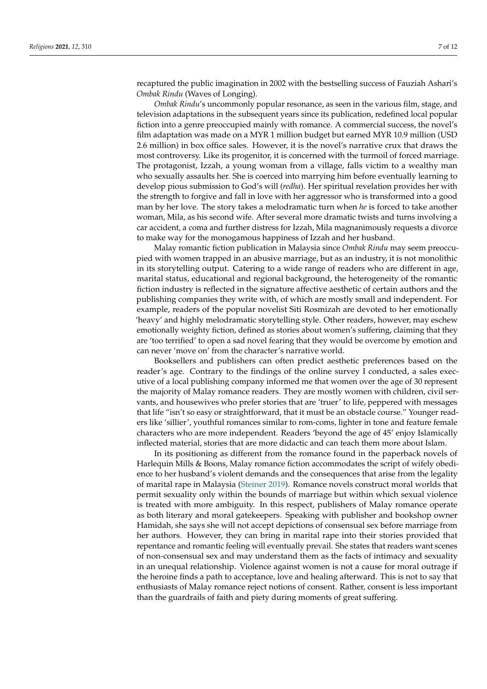recaptured the public imagination in 2002 with the bestselling success of Fauziah Ashari's *Ombak Rindu* (Waves of Longing).

*Ombak Rindu*'s uncommonly popular resonance, as seen in the various film, stage, and television adaptations in the subsequent years since its publication, redefined local popular fiction into a genre preoccupied mainly with romance. A commercial success, the novel's film adaptation was made on a MYR 1 million budget but earned MYR 10.9 million (USD 2.6 million) in box office sales. However, it is the novel's narrative crux that draws the most controversy. Like its progenitor, it is concerned with the turmoil of forced marriage. The protagonist, Izzah, a young woman from a village, falls victim to a wealthy man who sexually assaults her. She is coerced into marrying him before eventually learning to develop pious submission to God's will (*redha*). Her spiritual revelation provides her with the strength to forgive and fall in love with her aggressor who is transformed into a good man by her love. The story takes a melodramatic turn when *he* is forced to take another woman, Mila, as his second wife. After several more dramatic twists and turns involving a car accident, a coma and further distress for Izzah, Mila magnanimously requests a divorce to make way for the monogamous happiness of Izzah and her husband.

Malay romantic fiction publication in Malaysia since *Ombak Rindu* may seem preoccupied with women trapped in an abusive marriage, but as an industry, it is not monolithic in its storytelling output. Catering to a wide range of readers who are different in age, marital status, educational and regional background, the heterogeneity of the romantic fiction industry is reflected in the signature affective aesthetic of certain authors and the publishing companies they write with, of which are mostly small and independent. For example, readers of the popular novelist Siti Rosmizah are devoted to her emotionally 'heavy' and highly melodramatic storytelling style. Other readers, however, may eschew emotionally weighty fiction, defined as stories about women's suffering, claiming that they are 'too terrified' to open a sad novel fearing that they would be overcome by emotion and can never 'move on' from the character's narrative world.

Booksellers and publishers can often predict aesthetic preferences based on the reader's age. Contrary to the findings of the online survey I conducted, a sales executive of a local publishing company informed me that women over the age of 30 represent the majority of Malay romance readers. They are mostly women with children, civil servants, and housewives who prefer stories that are 'truer' to life, peppered with messages that life "isn't so easy or straightforward, that it must be an obstacle course." Younger readers like 'sillier', youthful romances similar to rom-coms, lighter in tone and feature female characters who are more independent. Readers 'beyond the age of 45' enjoy Islamically inflected material, stories that are more didactic and can teach them more about Islam.

In its positioning as different from the romance found in the paperback novels of Harlequin Mills & Boons, Malay romance fiction accommodates the script of wifely obedience to her husband's violent demands and the consequences that arise from the legality of marital rape in Malaysia [\(Steiner](#page-11-16) [2019\)](#page-11-16). Romance novels construct moral worlds that permit sexuality only within the bounds of marriage but within which sexual violence is treated with more ambiguity. In this respect, publishers of Malay romance operate as both literary and moral gatekeepers. Speaking with publisher and bookshop owner Hamidah, she says she will not accept depictions of consensual sex before marriage from her authors. However, they can bring in marital rape into their stories provided that repentance and romantic feeling will eventually prevail. She states that readers want scenes of non-consensual sex and may understand them as the facts of intimacy and sexuality in an unequal relationship. Violence against women is not a cause for moral outrage if the heroine finds a path to acceptance, love and healing afterward. This is not to say that enthusiasts of Malay romance reject notions of consent. Rather, consent is less important than the guardrails of faith and piety during moments of great suffering.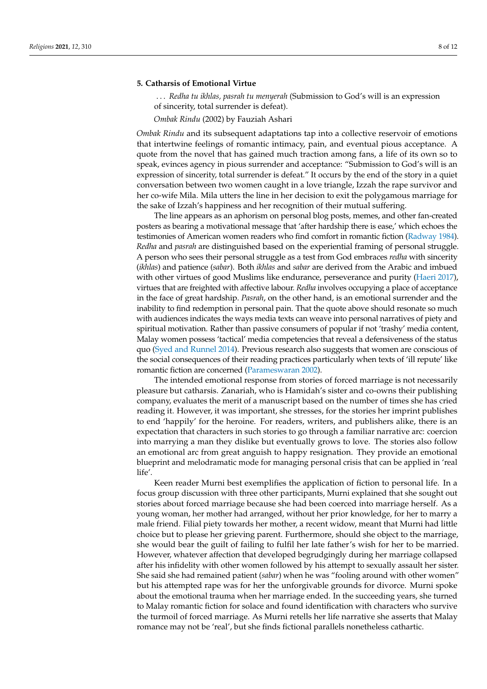## **5. Catharsis of Emotional Virtue**

. . . *Redha tu ikhlas, pasrah tu menyerah* (Submission to God's will is an expression of sincerity, total surrender is defeat).

*Ombak Rindu* (2002) by Fauziah Ashari

*Ombak Rindu* and its subsequent adaptations tap into a collective reservoir of emotions that intertwine feelings of romantic intimacy, pain, and eventual pious acceptance. A quote from the novel that has gained much traction among fans, a life of its own so to speak, evinces agency in pious surrender and acceptance: "Submission to God's will is an expression of sincerity, total surrender is defeat." It occurs by the end of the story in a quiet conversation between two women caught in a love triangle, Izzah the rape survivor and her co-wife Mila. Mila utters the line in her decision to exit the polygamous marriage for the sake of Izzah's happiness and her recognition of their mutual suffering.

The line appears as an aphorism on personal blog posts, memes, and other fan-created posters as bearing a motivational message that 'after hardship there is ease,' which echoes the testimonies of American women readers who find comfort in romantic fiction [\(Radway](#page-11-2) [1984\)](#page-11-2). *Redha* and *pasrah* are distinguished based on the experiential framing of personal struggle. A person who sees their personal struggle as a test from God embraces *redha* with sincerity (*ikhlas*) and patience (*sabar*). Both *ikhlas* and *sabar* are derived from the Arabic and imbued with other virtues of good Muslims like endurance, perseverance and purity [\(Haeri](#page-10-12) [2017\)](#page-10-12), virtues that are freighted with affective labour. *Redha* involves occupying a place of acceptance in the face of great hardship. *Pasrah*, on the other hand, is an emotional surrender and the inability to find redemption in personal pain. That the quote above should resonate so much with audiences indicates the ways media texts can weave into personal narratives of piety and spiritual motivation. Rather than passive consumers of popular if not 'trashy' media content, Malay women possess 'tactical' media competencies that reveal a defensiveness of the status quo [\(Syed and Runnel](#page-11-17) [2014\)](#page-11-17). Previous research also suggests that women are conscious of the social consequences of their reading practices particularly when texts of 'ill repute' like romantic fiction are concerned [\(Parameswaran](#page-11-18) [2002\)](#page-11-18).

The intended emotional response from stories of forced marriage is not necessarily pleasure but catharsis. Zanariah, who is Hamidah's sister and co-owns their publishing company, evaluates the merit of a manuscript based on the number of times she has cried reading it. However, it was important, she stresses, for the stories her imprint publishes to end 'happily' for the heroine. For readers, writers, and publishers alike, there is an expectation that characters in such stories to go through a familiar narrative arc: coercion into marrying a man they dislike but eventually grows to love. The stories also follow an emotional arc from great anguish to happy resignation. They provide an emotional blueprint and melodramatic mode for managing personal crisis that can be applied in 'real life'.

Keen reader Murni best exemplifies the application of fiction to personal life. In a focus group discussion with three other participants, Murni explained that she sought out stories about forced marriage because she had been coerced into marriage herself. As a young woman, her mother had arranged, without her prior knowledge, for her to marry a male friend. Filial piety towards her mother, a recent widow, meant that Murni had little choice but to please her grieving parent. Furthermore, should she object to the marriage, she would bear the guilt of failing to fulfil her late father's wish for her to be married. However, whatever affection that developed begrudgingly during her marriage collapsed after his infidelity with other women followed by his attempt to sexually assault her sister. She said she had remained patient (*sabar*) when he was "fooling around with other women" but his attempted rape was for her the unforgivable grounds for divorce. Murni spoke about the emotional trauma when her marriage ended. In the succeeding years, she turned to Malay romantic fiction for solace and found identification with characters who survive the turmoil of forced marriage. As Murni retells her life narrative she asserts that Malay romance may not be 'real', but she finds fictional parallels nonetheless cathartic.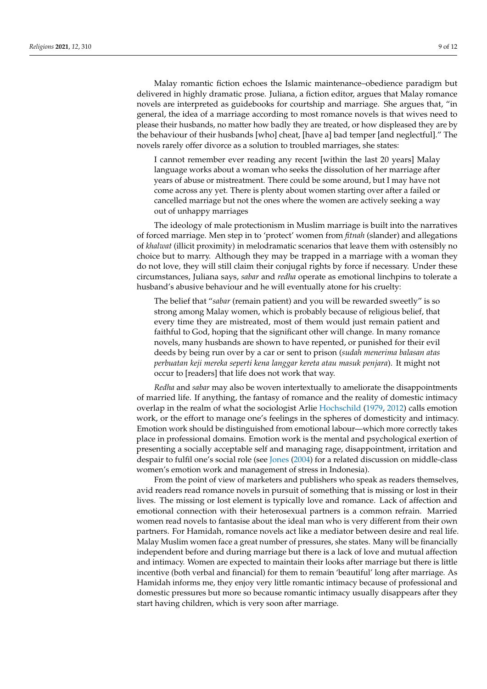Malay romantic fiction echoes the Islamic maintenance–obedience paradigm but delivered in highly dramatic prose. Juliana, a fiction editor, argues that Malay romance novels are interpreted as guidebooks for courtship and marriage. She argues that, "in general, the idea of a marriage according to most romance novels is that wives need to please their husbands, no matter how badly they are treated, or how displeased they are by the behaviour of their husbands [who] cheat, [have a] bad temper [and neglectful]." The novels rarely offer divorce as a solution to troubled marriages, she states:

I cannot remember ever reading any recent [within the last 20 years] Malay language works about a woman who seeks the dissolution of her marriage after years of abuse or mistreatment. There could be some around, but I may have not come across any yet. There is plenty about women starting over after a failed or cancelled marriage but not the ones where the women are actively seeking a way out of unhappy marriages

The ideology of male protectionism in Muslim marriage is built into the narratives of forced marriage. Men step in to 'protect' women from *fitnah* (slander) and allegations of *khalwat* (illicit proximity) in melodramatic scenarios that leave them with ostensibly no choice but to marry. Although they may be trapped in a marriage with a woman they do not love, they will still claim their conjugal rights by force if necessary. Under these circumstances, Juliana says, *sabar* and *redha* operate as emotional linchpins to tolerate a husband's abusive behaviour and he will eventually atone for his cruelty:

The belief that "*sabar* (remain patient) and you will be rewarded sweetly" is so strong among Malay women, which is probably because of religious belief, that every time they are mistreated, most of them would just remain patient and faithful to God, hoping that the significant other will change. In many romance novels, many husbands are shown to have repented, or punished for their evil deeds by being run over by a car or sent to prison (*sudah menerima balasan atas perbuatan keji mereka seperti kena langgar kereta atau masuk penjara*). It might not occur to [readers] that life does not work that way.

*Redha* and *sabar* may also be woven intertextually to ameliorate the disappointments of married life. If anything, the fantasy of romance and the reality of domestic intimacy overlap in the realm of what the sociologist Arlie [Hochschild](#page-10-13) [\(1979,](#page-10-13) [2012\)](#page-10-14) calls emotion work, or the effort to manage one's feelings in the spheres of domesticity and intimacy. Emotion work should be distinguished from emotional labour—which more correctly takes place in professional domains. Emotion work is the mental and psychological exertion of presenting a socially acceptable self and managing rage, disappointment, irritation and despair to fulfil one's social role (see [Jones](#page-11-19) [\(2004\)](#page-11-19) for a related discussion on middle-class women's emotion work and management of stress in Indonesia).

From the point of view of marketers and publishers who speak as readers themselves, avid readers read romance novels in pursuit of something that is missing or lost in their lives. The missing or lost element is typically love and romance. Lack of affection and emotional connection with their heterosexual partners is a common refrain. Married women read novels to fantasise about the ideal man who is very different from their own partners. For Hamidah, romance novels act like a mediator between desire and real life. Malay Muslim women face a great number of pressures, she states. Many will be financially independent before and during marriage but there is a lack of love and mutual affection and intimacy. Women are expected to maintain their looks after marriage but there is little incentive (both verbal and financial) for them to remain 'beautiful' long after marriage. As Hamidah informs me, they enjoy very little romantic intimacy because of professional and domestic pressures but more so because romantic intimacy usually disappears after they start having children, which is very soon after marriage.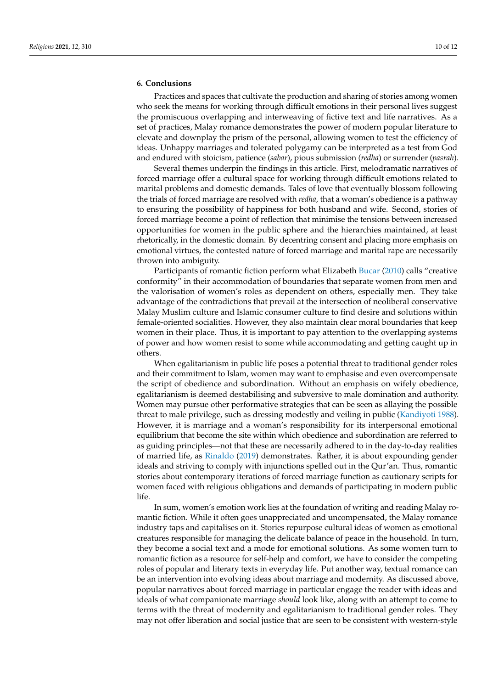# **6. Conclusions**

Practices and spaces that cultivate the production and sharing of stories among women who seek the means for working through difficult emotions in their personal lives suggest the promiscuous overlapping and interweaving of fictive text and life narratives. As a set of practices, Malay romance demonstrates the power of modern popular literature to elevate and downplay the prism of the personal, allowing women to test the efficiency of ideas. Unhappy marriages and tolerated polygamy can be interpreted as a test from God and endured with stoicism, patience (*sabar*), pious submission (*redha*) or surrender (*pasrah*).

Several themes underpin the findings in this article. First, melodramatic narratives of forced marriage offer a cultural space for working through difficult emotions related to marital problems and domestic demands. Tales of love that eventually blossom following the trials of forced marriage are resolved with *redha*, that a woman's obedience is a pathway to ensuring the possibility of happiness for both husband and wife. Second, stories of forced marriage become a point of reflection that minimise the tensions between increased opportunities for women in the public sphere and the hierarchies maintained, at least rhetorically, in the domestic domain. By decentring consent and placing more emphasis on emotional virtues, the contested nature of forced marriage and marital rape are necessarily thrown into ambiguity.

Participants of romantic fiction perform what Elizabeth [Bucar](#page-10-15) [\(2010\)](#page-10-15) calls "creative conformity" in their accommodation of boundaries that separate women from men and the valorisation of women's roles as dependent on others, especially men. They take advantage of the contradictions that prevail at the intersection of neoliberal conservative Malay Muslim culture and Islamic consumer culture to find desire and solutions within female-oriented socialities. However, they also maintain clear moral boundaries that keep women in their place. Thus, it is important to pay attention to the overlapping systems of power and how women resist to some while accommodating and getting caught up in others.

When egalitarianism in public life poses a potential threat to traditional gender roles and their commitment to Islam, women may want to emphasise and even overcompensate the script of obedience and subordination. Without an emphasis on wifely obedience, egalitarianism is deemed destabilising and subversive to male domination and authority. Women may pursue other performative strategies that can be seen as allaying the possible threat to male privilege, such as dressing modestly and veiling in public [\(Kandiyoti](#page-11-20) [1988\)](#page-11-20). However, it is marriage and a woman's responsibility for its interpersonal emotional equilibrium that become the site within which obedience and subordination are referred to as guiding principles—not that these are necessarily adhered to in the day-to-day realities of married life, as [Rinaldo](#page-11-7) [\(2019\)](#page-11-7) demonstrates. Rather, it is about expounding gender ideals and striving to comply with injunctions spelled out in the Qur'an. Thus, romantic stories about contemporary iterations of forced marriage function as cautionary scripts for women faced with religious obligations and demands of participating in modern public life.

In sum, women's emotion work lies at the foundation of writing and reading Malay romantic fiction. While it often goes unappreciated and uncompensated, the Malay romance industry taps and capitalises on it. Stories repurpose cultural ideas of women as emotional creatures responsible for managing the delicate balance of peace in the household. In turn, they become a social text and a mode for emotional solutions. As some women turn to romantic fiction as a resource for self-help and comfort, we have to consider the competing roles of popular and literary texts in everyday life. Put another way, textual romance can be an intervention into evolving ideas about marriage and modernity. As discussed above, popular narratives about forced marriage in particular engage the reader with ideas and ideals of what companionate marriage *should* look like, along with an attempt to come to terms with the threat of modernity and egalitarianism to traditional gender roles. They may not offer liberation and social justice that are seen to be consistent with western-style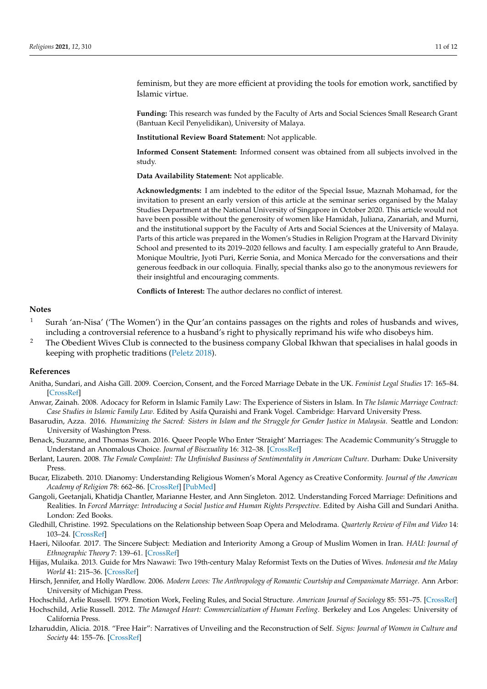feminism, but they are more efficient at providing the tools for emotion work, sanctified by Islamic virtue.

**Funding:** This research was funded by the Faculty of Arts and Social Sciences Small Research Grant (Bantuan Kecil Penyelidikan), University of Malaya.

**Institutional Review Board Statement:** Not applicable.

**Informed Consent Statement:** Informed consent was obtained from all subjects involved in the study.

**Data Availability Statement:** Not applicable.

**Acknowledgments:** I am indebted to the editor of the Special Issue, Maznah Mohamad, for the invitation to present an early version of this article at the seminar series organised by the Malay Studies Department at the National University of Singapore in October 2020. This article would not have been possible without the generosity of women like Hamidah, Juliana, Zanariah, and Murni, and the institutional support by the Faculty of Arts and Social Sciences at the University of Malaya. Parts of this article was prepared in the Women's Studies in Religion Program at the Harvard Divinity School and presented to its 2019–2020 fellows and faculty. I am especially grateful to Ann Braude, Monique Moultrie, Jyoti Puri, Kerrie Sonia, and Monica Mercado for the conversations and their generous feedback in our colloquia. Finally, special thanks also go to the anonymous reviewers for their insightful and encouraging comments.

**Conflicts of Interest:** The author declares no conflict of interest.

# **Notes**

- <span id="page-10-4"></span><sup>1</sup> Surah 'an-Nisa' ('The Women') in the Qur'an contains passages on the rights and roles of husbands and wives, including a controversial reference to a husband's right to physically reprimand his wife who disobeys him.
- <span id="page-10-7"></span><sup>2</sup> The Obedient Wives Club is connected to the business company Global Ikhwan that specialises in halal goods in keeping with prophetic traditions [\(Peletz](#page-11-10) [2018\)](#page-11-10).

# **References**

- <span id="page-10-1"></span>Anitha, Sundari, and Aisha Gill. 2009. Coercion, Consent, and the Forced Marriage Debate in the UK. *Feminist Legal Studies* 17: 165–84. [\[CrossRef\]](http://doi.org/10.1007/s10691-009-9119-4)
- <span id="page-10-10"></span>Anwar, Zainah. 2008. Adocacy for Reform in Islamic Family Law: The Experience of Sisters in Islam. In *The Islamic Marriage Contract: Case Studies in Islamic Family Law*. Edited by Asifa Quraishi and Frank Vogel. Cambridge: Harvard University Press.
- <span id="page-10-8"></span>Basarudin, Azza. 2016. *Humanizing the Sacred: Sisters in Islam and the Struggle for Gender Justice in Malaysia*. Seattle and London: University of Washington Press.
- <span id="page-10-3"></span>Benack, Suzanne, and Thomas Swan. 2016. Queer People Who Enter 'Straight' Marriages: The Academic Community's Struggle to Understand an Anomalous Choice. *Journal of Bisexuality* 16: 312–38. [\[CrossRef\]](http://doi.org/10.1080/15299716.2016.1167152)
- <span id="page-10-2"></span>Berlant, Lauren. 2008. *The Female Complaint: The Unfinished Business of Sentimentality in American Culture*. Durham: Duke University Press.
- <span id="page-10-15"></span>Bucar, Elizabeth. 2010. Dianomy: Understanding Religious Women's Moral Agency as Creative Conformity. *Journal of the American Academy of Religion* 78: 662–86. [\[CrossRef\]](http://doi.org/10.1093/jaarel/lfq021) [\[PubMed\]](http://www.ncbi.nlm.nih.gov/pubmed/20879193)
- <span id="page-10-0"></span>Gangoli, Geetanjali, Khatidja Chantler, Marianne Hester, and Ann Singleton. 2012. Understanding Forced Marriage: Definitions and Realities. In *Forced Marriage: Introducing a Social Justice and Human Rights Perspective*. Edited by Aisha Gill and Sundari Anitha. London: Zed Books.
- <span id="page-10-5"></span>Gledhill, Christine. 1992. Speculations on the Relationship between Soap Opera and Melodrama. *Quarterly Review of Film and Video* 14: 103–24. [\[CrossRef\]](http://doi.org/10.1080/10509209209361397)
- <span id="page-10-12"></span>Haeri, Niloofar. 2017. The Sincere Subject: Mediation and Interiority Among a Group of Muslim Women in Iran. *HAU: Journal of Ethnographic Theory* 7: 139–61. [\[CrossRef\]](http://doi.org/10.14318/hau7.1.014)
- <span id="page-10-9"></span>Hijjas, Mulaika. 2013. Guide for Mrs Nawawi: Two 19th-century Malay Reformist Texts on the Duties of Wives. *Indonesia and the Malay World* 41: 215–36. [\[CrossRef\]](http://doi.org/10.1080/13639811.2013.793030)
- <span id="page-10-6"></span>Hirsch, Jennifer, and Holly Wardlow. 2006. *Modern Loves: The Anthropology of Romantic Courtship and Companionate Marriage*. Ann Arbor: University of Michigan Press.
- <span id="page-10-13"></span>Hochschild, Arlie Russell. 1979. Emotion Work, Feeling Rules, and Social Structure. *American Journal of Sociology* 85: 551–75. [\[CrossRef\]](http://doi.org/10.1086/227049)
- <span id="page-10-14"></span>Hochschild, Arlie Russell. 2012. *The Managed Heart: Commercialization of Human Feeling*. Berkeley and Los Angeles: University of California Press.
- <span id="page-10-11"></span>Izharuddin, Alicia. 2018. "Free Hair": Narratives of Unveiling and the Reconstruction of Self. *Signs: Journal of Women in Culture and Society* 44: 155–76. [\[CrossRef\]](http://doi.org/10.1086/698281)